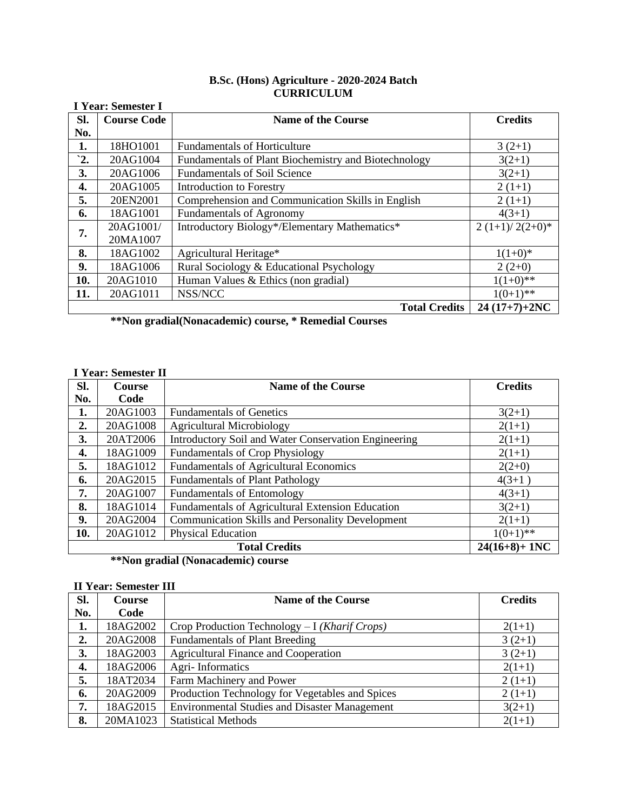| B.Sc. (Hons) Agriculture - 2020-2024 Batch |  |
|--------------------------------------------|--|
| <b>CURRICULUM</b>                          |  |

|                | CUNNICULUM<br><b>I Year: Semester I</b> |                                                               |                  |  |
|----------------|-----------------------------------------|---------------------------------------------------------------|------------------|--|
| Sl.            | <b>Course Code</b>                      | <b>Name of the Course</b>                                     | <b>Credits</b>   |  |
| No.            |                                         |                                                               |                  |  |
| 1.             | 18HO1001                                | <b>Fundamentals of Horticulture</b>                           | $3(2+1)$         |  |
| $\mathbf{r}$ . | 20AG1004                                | Fundamentals of Plant Biochemistry and Biotechnology          | $3(2+1)$         |  |
| 3.             | 20AG1006                                | <b>Fundamentals of Soil Science</b>                           | $3(2+1)$         |  |
| 4.             | 20AG1005                                | <b>Introduction to Forestry</b>                               | $2(1+1)$         |  |
| 5.             | 20EN2001                                | Comprehension and Communication Skills in English<br>$2(1+1)$ |                  |  |
| 6.             | 18AG1001                                | <b>Fundamentals of Agronomy</b><br>$4(3+1)$                   |                  |  |
| 7.             | 20AG1001/                               | Introductory Biology*/Elementary Mathematics*                 | $2(1+1)/2(2+0)*$ |  |
|                | 20MA1007                                |                                                               |                  |  |
| 8.             | 18AG1002                                | Agricultural Heritage*                                        | $1(1+0)*$        |  |
| 9.             | 18AG1006                                | Rural Sociology & Educational Psychology                      | $2(2+0)$         |  |
| 10.            | 20AG1010                                | Human Values & Ethics (non gradial)                           | $1(1+0)**$       |  |
| 11.            | 20AG1011                                | NSS/NCC                                                       | $1(0+1)$ **      |  |
|                |                                         | <b>Total Credits</b>                                          | $24(17+7)+2NC$   |  |

**\*\*Non gradial(Nonacademic) course, \* Remedial Courses**

## **I Year: Semester II**

| SI. | <b>Course</b>                            | <b>Name of the Course</b>                               | <b>Credits</b> |  |
|-----|------------------------------------------|---------------------------------------------------------|----------------|--|
| No. | Code                                     |                                                         |                |  |
| 1.  | 20AG1003                                 | <b>Fundamentals of Genetics</b>                         | $3(2+1)$       |  |
| 2.  | 20AG1008                                 | <b>Agricultural Microbiology</b>                        | $2(1+1)$       |  |
| 3.  | 20AT2006                                 | Introductory Soil and Water Conservation Engineering    | $2(1+1)$       |  |
| 4.  | 18AG1009                                 | <b>Fundamentals of Crop Physiology</b>                  | $2(1+1)$       |  |
| 5.  | 18AG1012                                 | <b>Fundamentals of Agricultural Economics</b>           | $2(2+0)$       |  |
| 6.  | 20AG2015                                 | <b>Fundamentals of Plant Pathology</b>                  | $4(3+1)$       |  |
| 7.  | 20AG1007                                 | <b>Fundamentals of Entomology</b>                       | $4(3+1)$       |  |
| 8.  | 18AG1014                                 | Fundamentals of Agricultural Extension Education        | $3(2+1)$       |  |
| 9.  | 20AG2004                                 | <b>Communication Skills and Personality Development</b> | $2(1+1)$       |  |
| 10. | 20AG1012                                 | <b>Physical Education</b>                               | $1(0+1)$ **    |  |
|     | $24(16+8) + 1NC$<br><b>Total Credits</b> |                                                         |                |  |

**\*\*Non gradial (Nonacademic) course**

## **II Year: Semester III**

| SI.            | Course   | <b>Name of the Course</b>                            | <b>Credits</b> |
|----------------|----------|------------------------------------------------------|----------------|
| No.            | Code     |                                                      |                |
| 1.             | 18AG2002 | Crop Production Technology $-I (Khari f\, Crops)$    | $2(1+1)$       |
| $\mathbf{2}$ . | 20AG2008 | <b>Fundamentals of Plant Breeding</b>                | $3(2+1)$       |
| 3.             | 18AG2003 | <b>Agricultural Finance and Cooperation</b>          | $3(2+1)$       |
| 4.             | 18AG2006 | Agri-Informatics                                     | $2(1+1)$       |
| 5.             | 18AT2034 | Farm Machinery and Power                             | $2(1+1)$       |
| 6.             | 20AG2009 | Production Technology for Vegetables and Spices      | $2(1+1)$       |
| 7.             | 18AG2015 | <b>Environmental Studies and Disaster Management</b> | $3(2+1)$       |
| 8.             | 20MA1023 | <b>Statistical Methods</b>                           | $2(1+1)$       |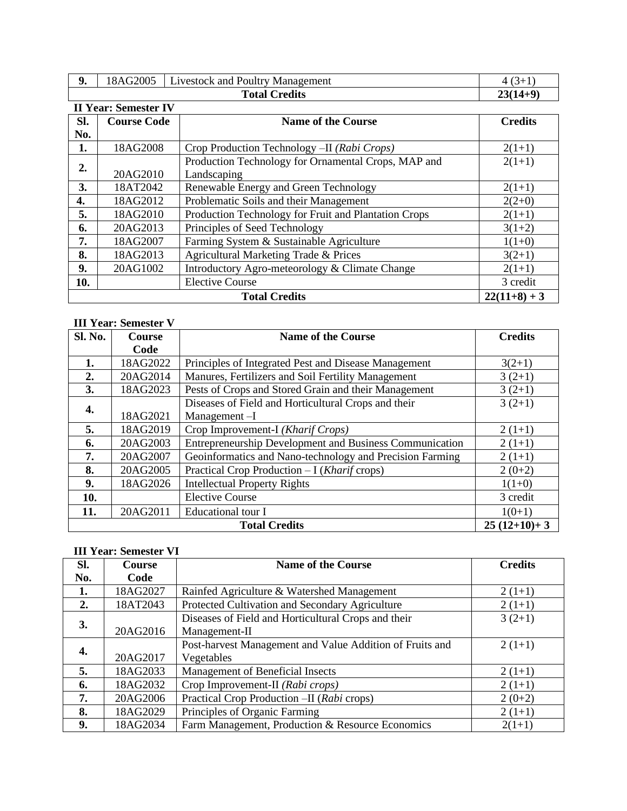| 9.                                                       | 18AG2005                               | <b>Livestock and Poultry Management</b>              | $4(3+1)$       |  |
|----------------------------------------------------------|----------------------------------------|------------------------------------------------------|----------------|--|
|                                                          | <b>Total Credits</b><br>$23(14+9)$     |                                                      |                |  |
|                                                          | <b>II Year: Semester IV</b>            |                                                      |                |  |
| Sl.<br><b>Course Code</b>                                |                                        | <b>Name of the Course</b>                            | <b>Credits</b> |  |
| No.                                                      |                                        |                                                      |                |  |
| 1.                                                       | 18AG2008                               | Crop Production Technology - II (Rabi Crops)         | $2(1+1)$       |  |
| 2.                                                       |                                        | Production Technology for Ornamental Crops, MAP and  | $2(1+1)$       |  |
|                                                          | 20AG2010                               | Landscaping                                          |                |  |
| 3.                                                       | 18AT2042                               | Renewable Energy and Green Technology                | $2(1+1)$       |  |
| Problematic Soils and their Management<br>18AG2012<br>4. |                                        | $2(2+0)$                                             |                |  |
| 5.                                                       | 18AG2010                               | Production Technology for Fruit and Plantation Crops | $2(1+1)$       |  |
| 6.                                                       | 20AG2013                               | Principles of Seed Technology                        | $3(1+2)$       |  |
| 7.                                                       | 18AG2007                               | Farming System & Sustainable Agriculture             | $1(1+0)$       |  |
| 8.                                                       | 18AG2013                               | Agricultural Marketing Trade & Prices                | $3(2+1)$       |  |
| 9.                                                       | 20AG1002                               | Introductory Agro-meteorology & Climate Change       | $2(1+1)$       |  |
| 10.                                                      |                                        | <b>Elective Course</b>                               | 3 credit       |  |
|                                                          | $22(11+8) + 3$<br><b>Total Credits</b> |                                                      |                |  |

## **III Year: Semester V**

| Sl. No. | Course                                | <b>Name of the Course</b>                                           | <b>Credits</b> |  |  |
|---------|---------------------------------------|---------------------------------------------------------------------|----------------|--|--|
|         | Code                                  |                                                                     |                |  |  |
| 1.      | 18AG2022                              | Principles of Integrated Pest and Disease Management                | $3(2+1)$       |  |  |
| 2.      | 20AG2014                              | Manures, Fertilizers and Soil Fertility Management                  | $3(2+1)$       |  |  |
| 3.      | 18AG2023                              | Pests of Crops and Stored Grain and their Management                | $3(2+1)$       |  |  |
| 4.      |                                       | Diseases of Field and Horticultural Crops and their                 | $3(2+1)$       |  |  |
|         | 18AG2021                              | Management-I                                                        |                |  |  |
| 5.      | 18AG2019                              | Crop Improvement-I (Kharif Crops)                                   | $2(1+1)$       |  |  |
| 6.      | 20AG2003                              | Entrepreneurship Development and Business Communication<br>$2(1+1)$ |                |  |  |
| 7.      | 20AG2007                              | Geoinformatics and Nano-technology and Precision Farming            | $2(1+1)$       |  |  |
| 8.      | 20AG2005                              | Practical Crop Production $-I (Kharif$ crops)                       | $2(0+2)$       |  |  |
| 9.      | 18AG2026                              | <b>Intellectual Property Rights</b>                                 | $1(1+0)$       |  |  |
| 10.     |                                       | <b>Elective Course</b>                                              | 3 credit       |  |  |
| 11.     | 20AG2011                              | Educational tour I                                                  | $1(0+1)$       |  |  |
|         | $25(12+10)+3$<br><b>Total Credits</b> |                                                                     |                |  |  |

# **III Year: Semester VI**

| SI. | <b>Course</b> | <b>Name of the Course</b>                                    | <b>Credits</b> |
|-----|---------------|--------------------------------------------------------------|----------------|
| No. | Code          |                                                              |                |
| 1.  | 18AG2027      | Rainfed Agriculture & Watershed Management                   | $2(1+1)$       |
| 2.  | 18AT2043      | Protected Cultivation and Secondary Agriculture              | $2(1+1)$       |
| 3.  |               | Diseases of Field and Horticultural Crops and their          | $3(2+1)$       |
|     | 20AG2016      | Management-II                                                |                |
| 4.  |               | Post-harvest Management and Value Addition of Fruits and     | $2(1+1)$       |
|     | 20AG2017      | Vegetables                                                   |                |
| 5.  | 18AG2033      | Management of Beneficial Insects<br>$2(1+1)$                 |                |
| 6.  | 18AG2032      | Crop Improvement-II (Rabi crops)<br>$2(1+1)$                 |                |
| 7.  | 20AG2006      | Practical Crop Production -II (Rabi crops)<br>$2(0+2)$       |                |
| 8.  | 18AG2029      | Principles of Organic Farming<br>$2(1+1)$                    |                |
| 9.  | 18AG2034      | Farm Management, Production & Resource Economics<br>$2(1+1)$ |                |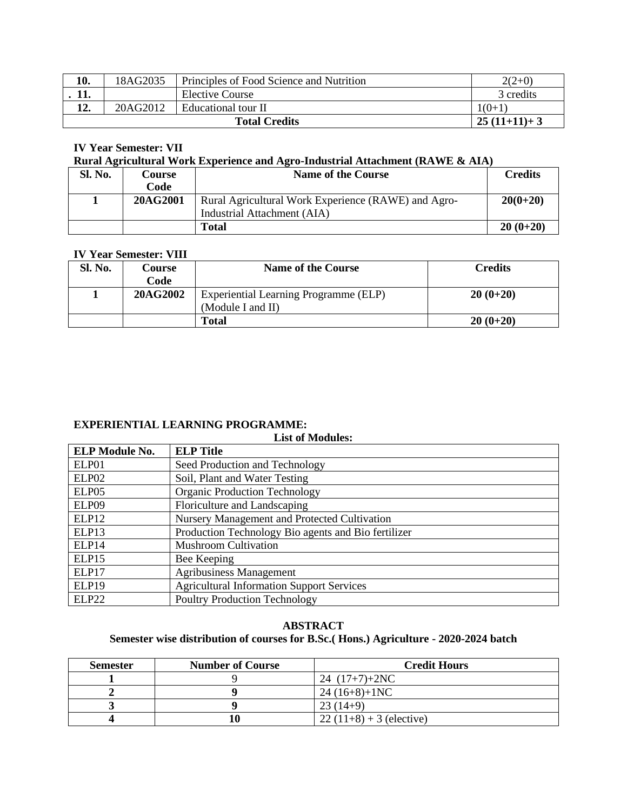| 10. | 18AG2035                              | Principles of Food Science and Nutrition | $2(2+0)$  |
|-----|---------------------------------------|------------------------------------------|-----------|
|     |                                       | <b>Elective Course</b>                   | 3 credits |
|     | 20AG2012                              | Educational tour II                      | $1(0+1)$  |
|     | $25(11+11)+3$<br><b>Total Credits</b> |                                          |           |

## **IV Year Semester: VII**

#### **Rural Agricultural Work Experience and Agro-Industrial Attachment (RAWE & AIA)**

| Sl. No. | Course   | <b>Name of the Course</b>                           | <b>Credits</b> |
|---------|----------|-----------------------------------------------------|----------------|
|         | Code     |                                                     |                |
|         | 20AG2001 | Rural Agricultural Work Experience (RAWE) and Agro- | $20(0+20)$     |
|         |          | Industrial Attachment (AIA)                         |                |
|         |          | <b>Total</b>                                        | $20(0+20)$     |

#### **IV Year Semester: VIII**

| Sl. No. | <b>Course</b> | <b>Name of the Course</b>             | Credits    |
|---------|---------------|---------------------------------------|------------|
|         | Code          |                                       |            |
|         | 20AG2002      | Experiential Learning Programme (ELP) | $20(0+20)$ |
|         |               | (Module I and II)                     |            |
|         |               | <b>Total</b>                          | $20(0+20)$ |

### **EXPERIENTIAL LEARNING PROGRAMME:**

## **List of Modules: ELP Module No. ELP Title** ELP01 Seed Production and Technology ELP02 Soil, Plant and Water Testing ELP05 | Organic Production Technology ELP09 Floriculture and Landscaping ELP12 Nursery Management and Protected Cultivation ELP13 Production Technology Bio agents and Bio fertilizer ELP14 Mushroom Cultivation ELP15 Bee Keeping ELP17 | Agribusiness Management ELP19 Agricultural Information Support Services ELP22 Poultry Production Technology

**ABSTRACT Semester wise distribution of courses for B.Sc.( Hons.) Agriculture - 2020-2024 batch**

| <b>Semester</b> | <b>Number of Course</b> | <b>Credit Hours</b>       |
|-----------------|-------------------------|---------------------------|
|                 |                         | 24 $(17+7)+2NC$           |
|                 |                         | $24(16+8)+1NC$            |
|                 |                         | $23(14+9)$                |
|                 |                         | $22(11+8) + 3$ (elective) |